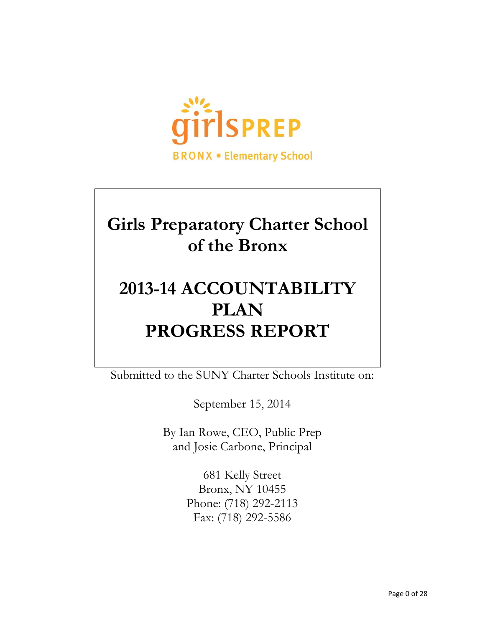

# **Girls Preparatory Charter School of the Bronx**

# **2013-14 ACCOUNTABILITY PLAN PROGRESS REPORT**

Submitted to the SUNY Charter Schools Institute on:

September 15, 2014

By Ian Rowe, CEO, Public Prep and Josie Carbone, Principal

> 681 Kelly Street Bronx, NY 10455 Phone: (718) 292-2113 Fax: (718) 292-5586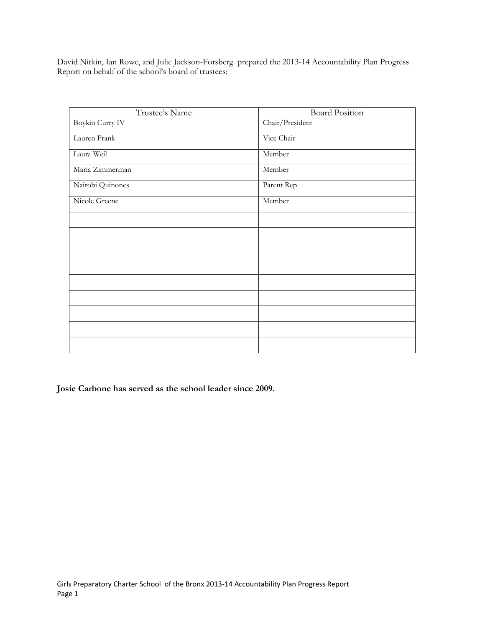David Nitkin, Ian Rowe, and Julie Jackson-Forsberg prepared the 2013-14 Accountability Plan Progress Report on behalf of the school's board of trustees:

| Trustee's Name   | <b>Board Position</b> |
|------------------|-----------------------|
| Boykin Curry IV  | Chair/President       |
| Lauren Frank     | Vice Chair            |
| Laura Weil       | Member                |
| Maria Zimmerman  | Member                |
| Nairobi Quinones | Parent Rep            |
| Nicole Greene    | Member                |
|                  |                       |
|                  |                       |
|                  |                       |
|                  |                       |
|                  |                       |
|                  |                       |
|                  |                       |
|                  |                       |
|                  |                       |

**Josie Carbone has served as the school leader since 2009.**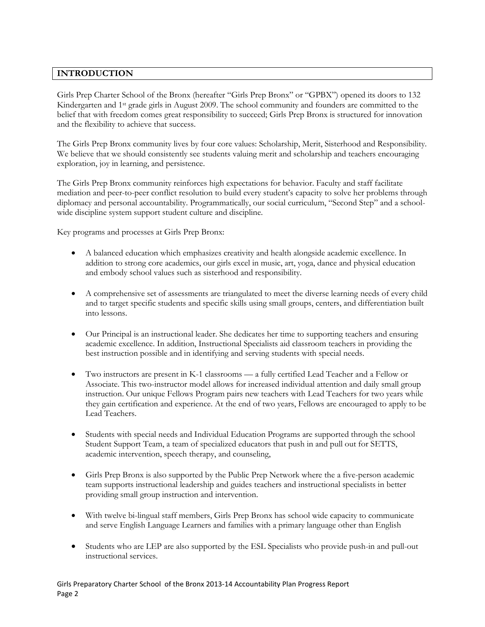## **INTRODUCTION**

Girls Prep Charter School of the Bronx (hereafter "Girls Prep Bronx" or "GPBX") opened its doors to 132 Kindergarten and 1st grade girls in August 2009. The school community and founders are committed to the belief that with freedom comes great responsibility to succeed; Girls Prep Bronx is structured for innovation and the flexibility to achieve that success.

The Girls Prep Bronx community lives by four core values: Scholarship, Merit, Sisterhood and Responsibility. We believe that we should consistently see students valuing merit and scholarship and teachers encouraging exploration, joy in learning, and persistence.

The Girls Prep Bronx community reinforces high expectations for behavior. Faculty and staff facilitate mediation and peer-to-peer conflict resolution to build every student's capacity to solve her problems through diplomacy and personal accountability. Programmatically, our social curriculum, "Second Step" and a schoolwide discipline system support student culture and discipline.

Key programs and processes at Girls Prep Bronx:

- A balanced education which emphasizes creativity and health alongside academic excellence. In addition to strong core academics, our girls excel in music, art, yoga, dance and physical education and embody school values such as sisterhood and responsibility.
- A comprehensive set of assessments are triangulated to meet the diverse learning needs of every child and to target specific students and specific skills using small groups, centers, and differentiation built into lessons.
- Our Principal is an instructional leader. She dedicates her time to supporting teachers and ensuring academic excellence. In addition, Instructional Specialists aid classroom teachers in providing the best instruction possible and in identifying and serving students with special needs.
- Two instructors are present in K-1 classrooms a fully certified Lead Teacher and a Fellow or Associate. This two-instructor model allows for increased individual attention and daily small group instruction. Our unique Fellows Program pairs new teachers with Lead Teachers for two years while they gain certification and experience. At the end of two years, Fellows are encouraged to apply to be Lead Teachers.
- Students with special needs and Individual Education Programs are supported through the school Student Support Team, a team of specialized educators that push in and pull out for SETTS, academic intervention, speech therapy, and counseling,
- Girls Prep Bronx is also supported by the Public Prep Network where the a five-person academic team supports instructional leadership and guides teachers and instructional specialists in better providing small group instruction and intervention.
- With twelve bi-lingual staff members, Girls Prep Bronx has school wide capacity to communicate and serve English Language Learners and families with a primary language other than English
- Students who are LEP are also supported by the ESL Specialists who provide push-in and pull-out instructional services.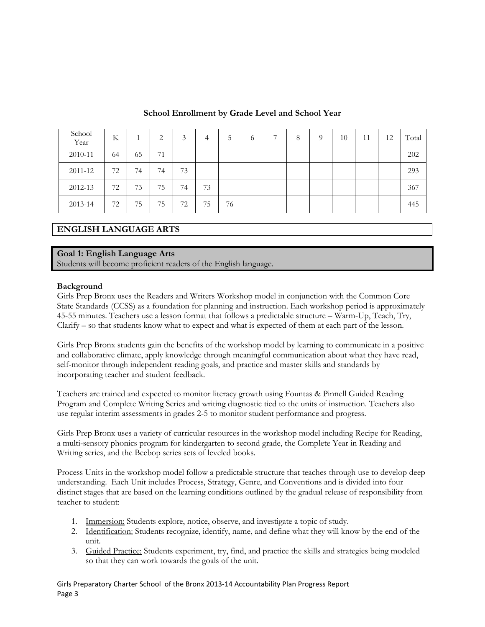| School<br>Year | K  |    | $\mathcal{D}$<br>∠ | 3  | 4  | C. | $\sigma$ | Ξ | 8 | $\Omega$ | 10 | 11 | 12 | Total |
|----------------|----|----|--------------------|----|----|----|----------|---|---|----------|----|----|----|-------|
| 2010-11        | 64 | 65 | 71                 |    |    |    |          |   |   |          |    |    |    | 202   |
| 2011-12        | 72 | 74 | 74                 | 73 |    |    |          |   |   |          |    |    |    | 293   |
| 2012-13        | 72 | 73 | 75                 | 74 | 73 |    |          |   |   |          |    |    |    | 367   |
| 2013-14        | 72 | 75 | 75                 | 72 | 75 | 76 |          |   |   |          |    |    |    | 445   |

## **School Enrollment by Grade Level and School Year**

## **ENGLISH LANGUAGE ARTS**

#### **Goal 1: English Language Arts**

Students will become proficient readers of the English language.

#### **Background**

Girls Prep Bronx uses the Readers and Writers Workshop model in conjunction with the Common Core State Standards (CCSS) as a foundation for planning and instruction. Each workshop period is approximately 45-55 minutes. Teachers use a lesson format that follows a predictable structure – Warm-Up, Teach, Try, Clarify – so that students know what to expect and what is expected of them at each part of the lesson.

Girls Prep Bronx students gain the benefits of the workshop model by learning to communicate in a positive and collaborative climate, apply knowledge through meaningful communication about what they have read, self-monitor through independent reading goals, and practice and master skills and standards by incorporating teacher and student feedback.

Teachers are trained and expected to monitor literacy growth using Fountas & Pinnell Guided Reading Program and Complete Writing Series and writing diagnostic tied to the units of instruction. Teachers also use regular interim assessments in grades 2-5 to monitor student performance and progress.

Girls Prep Bronx uses a variety of curricular resources in the workshop model including Recipe for Reading, a multi-sensory phonics program for kindergarten to second grade, the Complete Year in Reading and Writing series, and the Beebop series sets of leveled books.

Process Units in the workshop model follow a predictable structure that teaches through use to develop deep understanding. Each Unit includes Process, Strategy, Genre, and Conventions and is divided into four distinct stages that are based on the learning conditions outlined by the gradual release of responsibility from teacher to student:

- 1. Immersion: Students explore, notice, observe, and investigate a topic of study.
- 2. Identification: Students recognize, identify, name, and define what they will know by the end of the unit.
- 3. Guided Practice: Students experiment, try, find, and practice the skills and strategies being modeled so that they can work towards the goals of the unit.

Girls Preparatory Charter School of the Bronx 2013-14 Accountability Plan Progress Report Page 3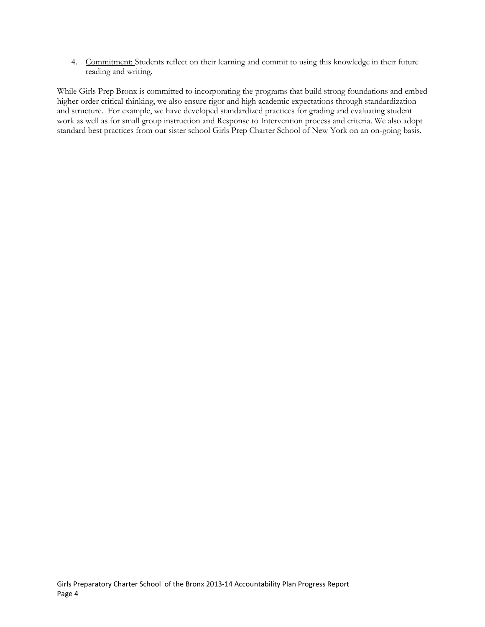4. Commitment: Students reflect on their learning and commit to using this knowledge in their future reading and writing.

While Girls Prep Bronx is committed to incorporating the programs that build strong foundations and embed higher order critical thinking, we also ensure rigor and high academic expectations through standardization and structure. For example, we have developed standardized practices for grading and evaluating student work as well as for small group instruction and Response to Intervention process and criteria. We also adopt standard best practices from our sister school Girls Prep Charter School of New York on an on-going basis.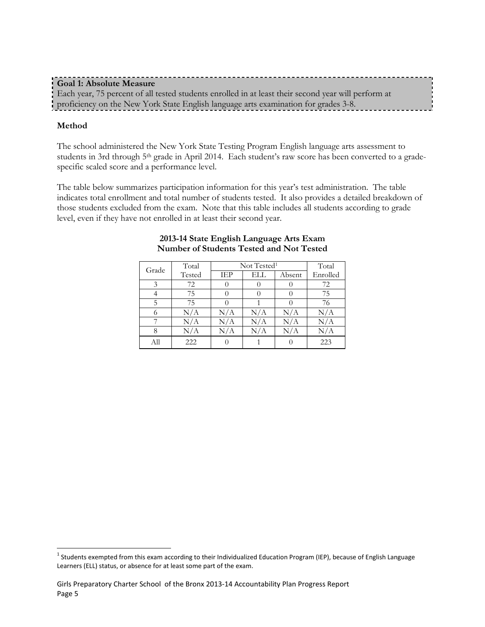## **Goal 1: Absolute Measure** Each year, 75 percent of all tested students enrolled in at least their second year will perform at proficiency on the New York State English language arts examination for grades 3-8.

## **Method**

The school administered the New York State Testing Program English language arts assessment to students in 3rd through 5<sup>th</sup> grade in April 2014. Each student's raw score has been converted to a gradespecific scaled score and a performance level.

The table below summarizes participation information for this year's test administration. The table indicates total enrollment and total number of students tested. It also provides a detailed breakdown of those students excluded from the exam. Note that this table includes all students according to grade level, even if they have not enrolled in at least their second year.

| Grade | Total  |           | Not Tested <sup>1</sup> |        |           |  |  |
|-------|--------|-----------|-------------------------|--------|-----------|--|--|
|       | Tested | IEP       | ELL                     | Absent | Enrolled  |  |  |
| 3     | 72     |           |                         |        | 72        |  |  |
|       | 75     |           |                         |        | 75        |  |  |
| 5     | 75     |           |                         |        | 76        |  |  |
| 6     | N/A    | N/A       | N/A                     | N/A    | N/A       |  |  |
|       | N/A    | $\rm N/A$ | N/A                     | N/A    | $\rm N/A$ |  |  |
| 8     | N/A    | N/A       | N/A                     | N/A    | N/A       |  |  |
| All   | 222    |           |                         |        | 223       |  |  |

#### **2013-14 State English Language Arts Exam Number of Students Tested and Not Tested**

<sup>&</sup>lt;sup>1</sup> Students exempted from this exam according to their Individualized Education Program (IEP), because of English Language Learners (ELL) status, or absence for at least some part of the exam.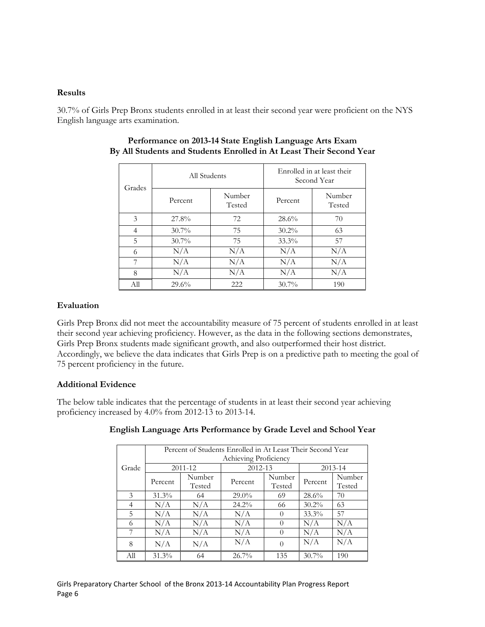#### **Results**

30.7% of Girls Prep Bronx students enrolled in at least their second year were proficient on the NYS English language arts examination.

| Grades | All Students |                  | Enrolled in at least their<br>Second Year |                  |  |
|--------|--------------|------------------|-------------------------------------------|------------------|--|
|        | Percent      | Number<br>Tested | Percent                                   | Number<br>Tested |  |
| 3      | 27.8%        | 72               | 28.6%                                     | 70               |  |
| 4      | $30.7\%$     | 75               | $30.2\%$                                  | 63               |  |
| 5      | $30.7\%$     | 75               | $33.3\%$                                  | 57               |  |
| 6      | N/A          | N/A              | N/A                                       | N/A              |  |
| 7      | N/A          | N/A              | N/A                                       | N/A              |  |
| 8      | N/A          | N/A              | N/A                                       | N/A              |  |
| All    | 29.6%        | 222              | $30.7\%$                                  | 190              |  |

#### **Performance on 2013-14 State English Language Arts Exam By All Students and Students Enrolled in At Least Their Second Year**

## **Evaluation**

Girls Prep Bronx did not meet the accountability measure of 75 percent of students enrolled in at least their second year achieving proficiency. However, as the data in the following sections demonstrates, Girls Prep Bronx students made significant growth, and also outperformed their host district. Accordingly, we believe the data indicates that Girls Prep is on a predictive path to meeting the goal of 75 percent proficiency in the future.

## **Additional Evidence**

The below table indicates that the percentage of students in at least their second year achieving proficiency increased by 4.0% from 2012-13 to 2013-14.

|       |                       | Percent of Students Enrolled in At Least Their Second Year |          |                  |          |                  |  |  |
|-------|-----------------------|------------------------------------------------------------|----------|------------------|----------|------------------|--|--|
|       | Achieving Proficiency |                                                            |          |                  |          |                  |  |  |
| Grade | 2011-12               |                                                            | 2012-13  |                  |          | 2013-14          |  |  |
|       | Percent               | Number<br>Tested                                           | Percent  | Number<br>Tested | Percent  | Number<br>Tested |  |  |
| 3     | $31.3\%$              | 64                                                         | $29.0\%$ | 69               | 28.6%    | 70               |  |  |
| 4     | N/A                   | N/A                                                        | $24.2\%$ | 66               | $30.2\%$ | 63               |  |  |
| 5     | N/A                   | N/A                                                        | N/A      |                  | 33.3%    | 57               |  |  |
| 6     | N/A                   | N/A                                                        | N/A      |                  | N/A      | N/A              |  |  |
| 7     | N/A                   | N/A                                                        | N/A      |                  | N/A      | N/A              |  |  |
| 8     | N/A                   | N/A                                                        | N/A      | $\Omega$         | N/A      | N/A              |  |  |
| All   | 31.3%                 | 64                                                         | 26.7%    | 135              | $30.7\%$ | 190              |  |  |

## **English Language Arts Performance by Grade Level and School Year**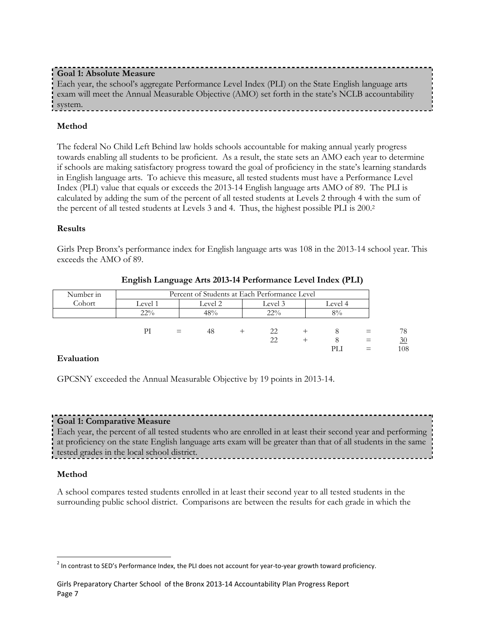## **Goal 1: Absolute Measure**

Each year, the school's aggregate Performance Level Index (PLI) on the State English language arts exam will meet the Annual Measurable Objective (AMO) set forth in the state's NCLB accountability system.

## **Method**

The federal No Child Left Behind law holds schools accountable for making annual yearly progress towards enabling all students to be proficient. As a result, the state sets an AMO each year to determine if schools are making satisfactory progress toward the goal of proficiency in the state's learning standards in English language arts. To achieve this measure, all tested students must have a Performance Level Index (PLI) value that equals or exceeds the 2013-14 English language arts AMO of 89. The PLI is calculated by adding the sum of the percent of all tested students at Levels 2 through 4 with the sum of the percent of all tested students at Levels 3 and 4. Thus, the highest possible PLI is 200.<sup>2</sup>

## **Results**

Girls Prep Bronx's performance index for English language arts was 108 in the 2013-14 school year. This exceeds the AMO of 89.

| Number in | Percent of Students at Each Performance Level |                               |     |  |        |  |       |          |     |
|-----------|-----------------------------------------------|-------------------------------|-----|--|--------|--|-------|----------|-----|
| Cohort    | Level 1                                       | Level 2<br>Level 3<br>Level 4 |     |  |        |  |       |          |     |
|           | $22\%$                                        |                               | 48% |  | $22\%$ |  | $8\%$ |          |     |
|           |                                               |                               |     |  |        |  |       |          |     |
|           | PI                                            | $=$                           | 48  |  | 22     |  |       |          | 78  |
|           |                                               |                               |     |  | 22     |  |       | $\equiv$ | 30  |
|           |                                               |                               |     |  |        |  | PLI   |          | 108 |

**English Language Arts 2013-14 Performance Level Index (PLI)** 

## **Evaluation**

GPCSNY exceeded the Annual Measurable Objective by 19 points in 2013-14.

## **Goal 1: Comparative Measure**

Each year, the percent of all tested students who are enrolled in at least their second year and performing at proficiency on the state English language arts exam will be greater than that of all students in the same tested grades in the local school district.

## **Method**

A school compares tested students enrolled in at least their second year to all tested students in the surrounding public school district. Comparisons are between the results for each grade in which the

  $^2$  In contrast to SED's Performance Index, the PLI does not account for year-to-year growth toward proficiency.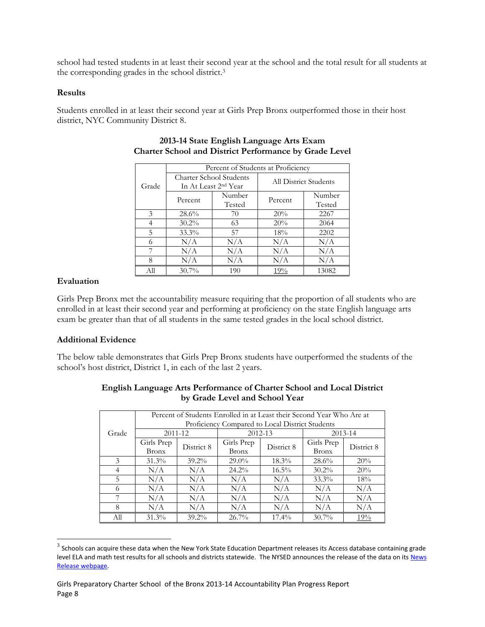school had tested students in at least their second year at the school and the total result for all students at the corresponding grades in the school district. 3

#### **Results**

Students enrolled in at least their second year at Girls Prep Bronx outperformed those in their host district, NYC Community District 8.

|               |          | Percent of Students at Proficiency                          |                       |                  |  |  |  |  |  |
|---------------|----------|-------------------------------------------------------------|-----------------------|------------------|--|--|--|--|--|
| Grade         |          | Charter School Students<br>In At Least 2 <sup>nd</sup> Year | All District Students |                  |  |  |  |  |  |
|               | Percent  | Number<br>Tested                                            | Percent               | Number<br>Tested |  |  |  |  |  |
| $\mathcal{E}$ | $28.6\%$ | 70                                                          | 20%                   | 2267             |  |  |  |  |  |
|               | $30.2\%$ | 63                                                          | 20%                   | 2064             |  |  |  |  |  |
| 5             | $33.3\%$ | 57                                                          | 18%                   | 2202             |  |  |  |  |  |
| 6             | N/A      | N/A                                                         | N/A                   | N/A              |  |  |  |  |  |
| 7             | N/A      | N/A                                                         | N/A                   | N/A              |  |  |  |  |  |
| 8             | N/A      | N/A                                                         | N/A                   | N/A              |  |  |  |  |  |
| All           | $30.7\%$ | 190                                                         | 19%                   | 13082            |  |  |  |  |  |

## **2013-14 State English Language Arts Exam Charter School and District Performance by Grade Level**

## **Evaluation**

 $\overline{\phantom{a}}$ 

Girls Prep Bronx met the accountability measure requiring that the proportion of all students who are enrolled in at least their second year and performing at proficiency on the state English language arts exam be greater than that of all students in the same tested grades in the local school district.

## **Additional Evidence**

The below table demonstrates that Girls Prep Bronx students have outperformed the students of the school's host district, District 1, in each of the last 2 years.

|       |                                                 | Percent of Students Enrolled in at Least their Second Year Who Are at |              |            |              |             |
|-------|-------------------------------------------------|-----------------------------------------------------------------------|--------------|------------|--------------|-------------|
|       | Proficiency Compared to Local District Students |                                                                       |              |            |              |             |
| Grade | 2011-12                                         |                                                                       | 2012-13      |            |              | $2013 - 14$ |
|       | Girls Prep                                      | District 8                                                            | Girls Prep   | District 8 | Girls Prep   | District 8  |
|       | <b>Bronx</b>                                    |                                                                       | <b>Bronx</b> |            | <b>Bronx</b> |             |
| 3     | $31.3\%$                                        | $39.2\%$                                                              | $29.0\%$     | $18.3\%$   | $28.6\%$     | 20%         |
| 4     | N/A                                             | N/A                                                                   | $24.2\%$     | $16.5\%$   | $30.2\%$     | 20%         |
| 5     | N/A                                             | N/A                                                                   | N/A          | N/A        | $33.3\%$     | 18%         |
| 6     | N/A                                             | N/A                                                                   | N/A          | N/A        | N/A          | N/A         |
| 7     | N/A                                             | N/A                                                                   | N/A          | N/A        | N/A          | N/A         |
| 8     | N/A                                             | N/A                                                                   | N/A          | N/A        | N/A          | N/A         |
| All   | 31.3%                                           | $39.2\%$                                                              | 26.7%        | $17.4\%$   | $30.7\%$     | 19%         |

## **English Language Arts Performance of Charter School and Local District by Grade Level and School Year**

 $^3$  Schools can acquire these data when the New York State Education Department releases its Access database containing grade level ELA and math test results for all schools and districts statewide. The NYSED announces the release of the data on its News [Release webpage.](http://www.oms.nysed.gov/press/)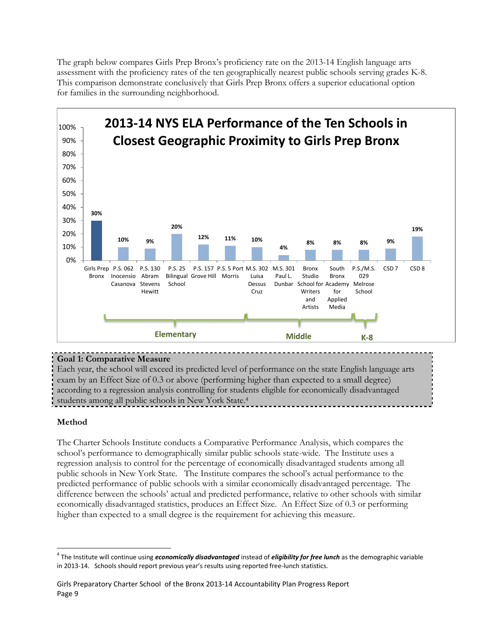The graph below compares Girls Prep Bronx's proficiency rate on the 2013-14 English language arts assessment with the proficiency rates of the ten geographically nearest public schools serving grades K-8. This comparison demonstrate conclusively that Girls Prep Bronx offers a superior educational option for families in the surrounding neighborhood.



## **Goal 1: Comparative Measure**

Each year, the school will exceed its predicted level of performance on the state English language arts exam by an Effect Size of 0.3 or above (performing higher than expected to a small degree) according to a regression analysis controlling for students eligible for economically disadvantaged students among all public schools in New York State.<sup>4</sup>

## **Method**

The Charter Schools Institute conducts a Comparative Performance Analysis, which compares the school's performance to demographically similar public schools state-wide. The Institute uses a regression analysis to control for the percentage of economically disadvantaged students among all public schools in New York State. The Institute compares the school's actual performance to the predicted performance of public schools with a similar economically disadvantaged percentage. The difference between the schools' actual and predicted performance, relative to other schools with similar economically disadvantaged statistics, produces an Effect Size. An Effect Size of 0.3 or performing higher than expected to a small degree is the requirement for achieving this measure.

<sup>4</sup> The Institute will continue using *economically disadvantaged* instead of *eligibility for free lunch* as the demographic variable in 2013-14. Schools should report previous year's results using reported free-lunch statistics.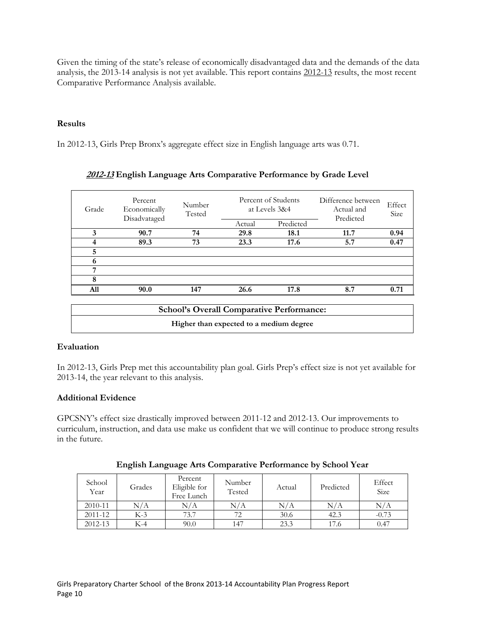Given the timing of the state's release of economically disadvantaged data and the demands of the data analysis, the 2013-14 analysis is not yet available. This report contains 2012-13 results, the most recent Comparative Performance Analysis available.

## **Results**

In 2012-13, Girls Prep Bronx's aggregate effect size in English language arts was 0.71.

| Grade | Percent<br>Economically<br>Disadvataged | Number<br>Tested |        | Percent of Students<br>at Levels 3&4 | Difference between<br>Actual and<br>Predicted | Effect<br>Size |
|-------|-----------------------------------------|------------------|--------|--------------------------------------|-----------------------------------------------|----------------|
|       |                                         |                  | Actual | Predicted                            |                                               |                |
| 3     | 90.7                                    | 74               | 29.8   | 18.1                                 | 11.7                                          | 0.94           |
| 4     | 89.3                                    | 73               | 23.3   | 17.6                                 | 5.7                                           | 0.47           |
| 5     |                                         |                  |        |                                      |                                               |                |
| 6     |                                         |                  |        |                                      |                                               |                |
| 7     |                                         |                  |        |                                      |                                               |                |
| 8     |                                         |                  |        |                                      |                                               |                |
| A11   | 90.0                                    | 147              | 26.6   | 17.8                                 | 8.7                                           | 0.71           |
|       |                                         |                  |        |                                      |                                               |                |

## **2012-13 English Language Arts Comparative Performance by Grade Level**

| <b>School's Overall Comparative Performance:</b> |  |
|--------------------------------------------------|--|
| Higher than expected to a medium degree          |  |

## **Evaluation**

In 2012-13, Girls Prep met this accountability plan goal. Girls Prep's effect size is not yet available for 2013-14, the year relevant to this analysis.

## **Additional Evidence**

GPCSNY's effect size drastically improved between 2011-12 and 2012-13. Our improvements to curriculum, instruction, and data use make us confident that we will continue to produce strong results in the future.

| School<br>Year | Grades | Percent<br>Eligible for<br>Free Lunch | Number<br>Tested | Actual | Predicted | Effect<br><b>Size</b> |
|----------------|--------|---------------------------------------|------------------|--------|-----------|-----------------------|
| 2010-11        | N/A    | N/A                                   |                  | N/A    |           |                       |

2011-12 K-3 73.7 72 30.6 42.3 -0.73 2012-13 K-4 90.0 147 23.3 17.6 0.47

|  |  | English Language Arts Comparative Performance by School Year |
|--|--|--------------------------------------------------------------|
|  |  |                                                              |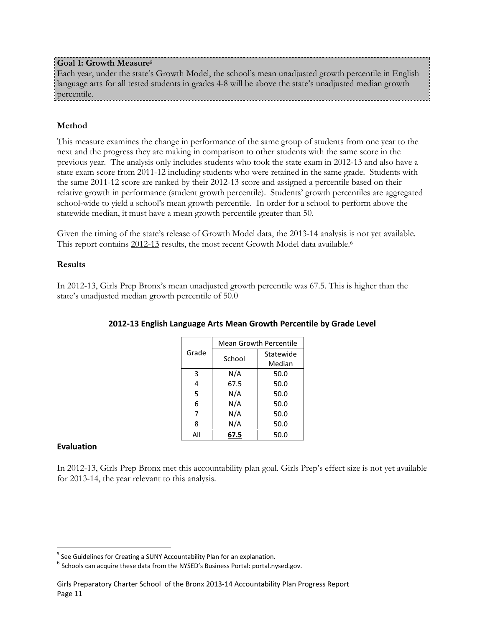## **Goal 1: Growth Measure<sup>5</sup>**

Each year, under the state's Growth Model, the school's mean unadjusted growth percentile in English language arts for all tested students in grades 4-8 will be above the state's unadjusted median growth percentile.

## **Method**

This measure examines the change in performance of the same group of students from one year to the next and the progress they are making in comparison to other students with the same score in the previous year. The analysis only includes students who took the state exam in 2012-13 and also have a state exam score from 2011-12 including students who were retained in the same grade. Students with the same 2011-12 score are ranked by their 2012-13 score and assigned a percentile based on their relative growth in performance (student growth percentile). Students' growth percentiles are aggregated school-wide to yield a school's mean growth percentile. In order for a school to perform above the statewide median, it must have a mean growth percentile greater than 50.

Given the timing of the state's release of Growth Model data, the 2013-14 analysis is not yet available. This report contains 2012-13 results, the most recent Growth Model data available.<sup>6</sup>

#### **Results**

In 2012-13, Girls Prep Bronx's mean unadjusted growth percentile was 67.5. This is higher than the state's unadjusted median growth percentile of 50.0

|       | <b>Mean Growth Percentile</b> |           |  |  |
|-------|-------------------------------|-----------|--|--|
| Grade | School                        | Statewide |  |  |
|       |                               | Median    |  |  |
| 3     | N/A                           | 50.0      |  |  |
| 4     | 67.5                          | 50.0      |  |  |
| 5     | N/A                           | 50.0      |  |  |
| 6     | N/A                           | 50.0      |  |  |
| 7     | N/A                           | 50.0      |  |  |
| ጸ     | N/A                           | 50.0      |  |  |
| All   | 67.5                          | 50.0      |  |  |

## **2012-13 English Language Arts Mean Growth Percentile by Grade Level**

## **Evaluation**

In 2012-13, Girls Prep Bronx met this accountability plan goal. Girls Prep's effect size is not yet available for 2013-14, the year relevant to this analysis.

 5 See Guidelines fo[r Creating a SUNY Accountability Plan](http://www.newyorkcharters.org/operate/first-year-schools/accountability-plan/) for an explanation.

 $^6$  Schools can acquire these data from the NYSED's Business Portal: portal.nysed.gov.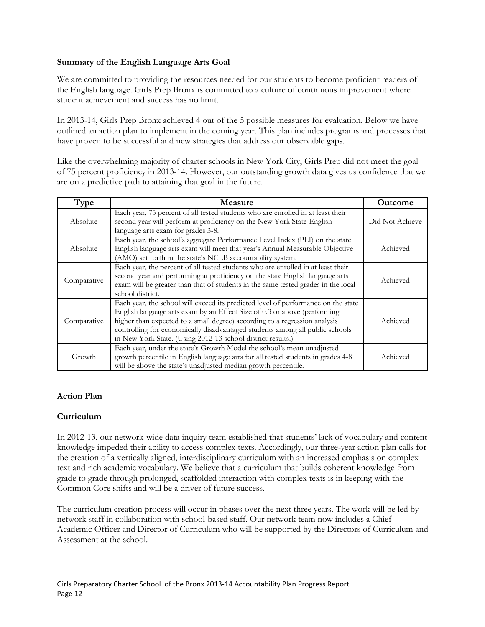## **Summary of the English Language Arts Goal**

We are committed to providing the resources needed for our students to become proficient readers of the English language. Girls Prep Bronx is committed to a culture of continuous improvement where student achievement and success has no limit.

In 2013-14, Girls Prep Bronx achieved 4 out of the 5 possible measures for evaluation. Below we have outlined an action plan to implement in the coming year. This plan includes programs and processes that have proven to be successful and new strategies that address our observable gaps.

Like the overwhelming majority of charter schools in New York City, Girls Prep did not meet the goal of 75 percent proficiency in 2013-14. However, our outstanding growth data gives us confidence that we are on a predictive path to attaining that goal in the future.

| Type        | <b>Measure</b>                                                                                                                                                                                                                                                                                                                                                                             | <b>Outcome</b>  |
|-------------|--------------------------------------------------------------------------------------------------------------------------------------------------------------------------------------------------------------------------------------------------------------------------------------------------------------------------------------------------------------------------------------------|-----------------|
| Absolute    | Each year, 75 percent of all tested students who are enrolled in at least their<br>second year will perform at proficiency on the New York State English<br>language arts exam for grades 3-8.                                                                                                                                                                                             | Did Not Achieve |
| Absolute    | Each year, the school's aggregate Performance Level Index (PLI) on the state<br>English language arts exam will meet that year's Annual Measurable Objective<br>(AMO) set forth in the state's NCLB accountability system.                                                                                                                                                                 | Achieved        |
| Comparative | Each year, the percent of all tested students who are enrolled in at least their<br>second year and performing at proficiency on the state English language arts<br>exam will be greater than that of students in the same tested grades in the local<br>school district.                                                                                                                  | Achieved        |
| Comparative | Each year, the school will exceed its predicted level of performance on the state<br>English language arts exam by an Effect Size of 0.3 or above (performing<br>higher than expected to a small degree) according to a regression analysis<br>controlling for economically disadvantaged students among all public schools<br>in New York State. (Using 2012-13 school district results.) | Achieved        |
| Growth      | Each year, under the state's Growth Model the school's mean unadjusted<br>growth percentile in English language arts for all tested students in grades 4-8<br>will be above the state's unadjusted median growth percentile.                                                                                                                                                               | Achieved        |

## **Action Plan**

#### **Curriculum**

In 2012-13, our network-wide data inquiry team established that students' lack of vocabulary and content knowledge impeded their ability to access complex texts. Accordingly, our three-year action plan calls for the creation of a vertically aligned, interdisciplinary curriculum with an increased emphasis on complex text and rich academic vocabulary. We believe that a curriculum that builds coherent knowledge from grade to grade through prolonged, scaffolded interaction with complex texts is in keeping with the Common Core shifts and will be a driver of future success.

The curriculum creation process will occur in phases over the next three years. The work will be led by network staff in collaboration with school-based staff. Our network team now includes a Chief Academic Officer and Director of Curriculum who will be supported by the Directors of Curriculum and Assessment at the school.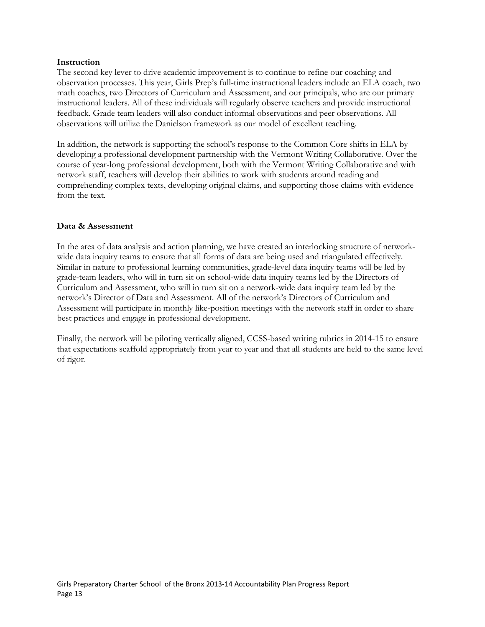#### **Instruction**

The second key lever to drive academic improvement is to continue to refine our coaching and observation processes. This year, Girls Prep's full-time instructional leaders include an ELA coach, two math coaches, two Directors of Curriculum and Assessment, and our principals, who are our primary instructional leaders. All of these individuals will regularly observe teachers and provide instructional feedback. Grade team leaders will also conduct informal observations and peer observations. All observations will utilize the Danielson framework as our model of excellent teaching.

In addition, the network is supporting the school's response to the Common Core shifts in ELA by developing a professional development partnership with the Vermont Writing Collaborative. Over the course of year-long professional development, both with the Vermont Writing Collaborative and with network staff, teachers will develop their abilities to work with students around reading and comprehending complex texts, developing original claims, and supporting those claims with evidence from the text.

#### **Data & Assessment**

In the area of data analysis and action planning, we have created an interlocking structure of networkwide data inquiry teams to ensure that all forms of data are being used and triangulated effectively. Similar in nature to professional learning communities, grade-level data inquiry teams will be led by grade-team leaders, who will in turn sit on school-wide data inquiry teams led by the Directors of Curriculum and Assessment, who will in turn sit on a network-wide data inquiry team led by the network's Director of Data and Assessment. All of the network's Directors of Curriculum and Assessment will participate in monthly like-position meetings with the network staff in order to share best practices and engage in professional development.

Finally, the network will be piloting vertically aligned, CCSS-based writing rubrics in 2014-15 to ensure that expectations scaffold appropriately from year to year and that all students are held to the same level of rigor.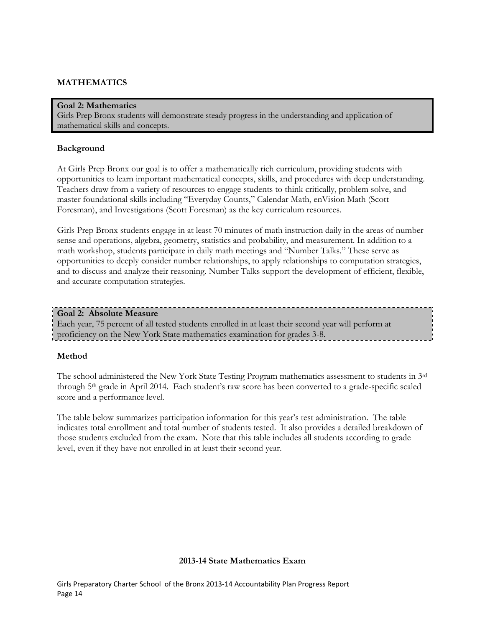## **MATHEMATICS**

#### **Goal 2: Mathematics**

Girls Prep Bronx students will demonstrate steady progress in the understanding and application of mathematical skills and concepts.

#### **Background**

At Girls Prep Bronx our goal is to offer a mathematically rich curriculum, providing students with opportunities to learn important mathematical concepts, skills, and procedures with deep understanding. Teachers draw from a variety of resources to engage students to think critically, problem solve, and master foundational skills including "Everyday Counts," Calendar Math, enVision Math (Scott Foresman), and Investigations (Scott Foresman) as the key curriculum resources.

Girls Prep Bronx students engage in at least 70 minutes of math instruction daily in the areas of number sense and operations, algebra, geometry, statistics and probability, and measurement. In addition to a math workshop, students participate in daily math meetings and "Number Talks." These serve as opportunities to deeply consider number relationships, to apply relationships to computation strategies, and to discuss and analyze their reasoning. Number Talks support the development of efficient, flexible, and accurate computation strategies.

#### **Goal 2: Absolute Measure**

Each year, 75 percent of all tested students enrolled in at least their second year will perform at proficiency on the New York State mathematics examination for grades 3-8.

#### **Method**

The school administered the New York State Testing Program mathematics assessment to students in 3rd through 5th grade in April 2014. Each student's raw score has been converted to a grade-specific scaled score and a performance level.

The table below summarizes participation information for this year's test administration. The table indicates total enrollment and total number of students tested. It also provides a detailed breakdown of those students excluded from the exam. Note that this table includes all students according to grade level, even if they have not enrolled in at least their second year.

#### **2013-14 State Mathematics Exam**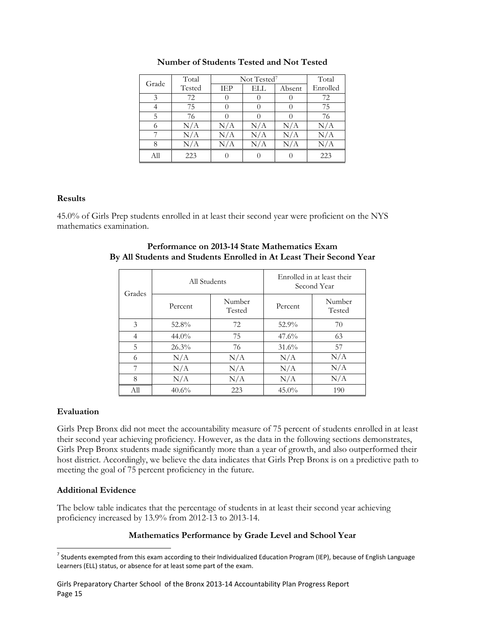| Grade | Total  | Not Tested <sup>7</sup> | Total |        |           |
|-------|--------|-------------------------|-------|--------|-----------|
|       | Tested | IEP                     | ELL   | Absent | Enrolled  |
| 3     | 72     |                         |       |        | 72        |
|       | 75     |                         |       |        | 75        |
| 5     | 76     |                         |       |        | 76        |
| 6     | N/A    | N/A                     | N/A   | N/A    | N/A       |
|       | N/A    | N/A                     | N/A   | N/A    | $\rm N/A$ |
| 8     | N/A    | N/A                     | N/A   | N/A    | $\rm N/A$ |
| All   | 223    |                         |       |        | 223       |

#### **Number of Students Tested and Not Tested**

#### **Results**

45.0% of Girls Prep students enrolled in at least their second year were proficient on the NYS mathematics examination.

| Grades | All Students |                  | Enrolled in at least their<br>Second Year |                  |  |
|--------|--------------|------------------|-------------------------------------------|------------------|--|
|        | Percent      | Number<br>Tested | Percent                                   | Number<br>Tested |  |
| 3      | 52.8%        | 72               | 52.9%                                     | 70               |  |
| 4      | $44.0\%$     | 75               | 47.6%                                     | 63               |  |
| 5      | 26.3%        | 76               | 31.6%                                     | 57               |  |
| 6      | N/A          | N/A              | N/A                                       | N/A              |  |
| 7      | N/A          | N/A              | N/A                                       | N/A              |  |
| 8      | N/A          | N/A              | N/A                                       | N/A              |  |
| All    | 40.6%        | 223              | $45.0\%$                                  | 190              |  |

#### **Performance on 2013-14 State Mathematics Exam By All Students and Students Enrolled in At Least Their Second Year**

## **Evaluation**

Girls Prep Bronx did not meet the accountability measure of 75 percent of students enrolled in at least their second year achieving proficiency. However, as the data in the following sections demonstrates, Girls Prep Bronx students made significantly more than a year of growth, and also outperformed their host district. Accordingly, we believe the data indicates that Girls Prep Bronx is on a predictive path to meeting the goal of 75 percent proficiency in the future.

## **Additional Evidence**

The below table indicates that the percentage of students in at least their second year achieving proficiency increased by 13.9% from 2012-13 to 2013-14.

## **Mathematics Performance by Grade Level and School Year**

<sup>&</sup>lt;sup>7</sup> Students exempted from this exam according to their Individualized Education Program (IEP), because of English Language Learners (ELL) status, or absence for at least some part of the exam.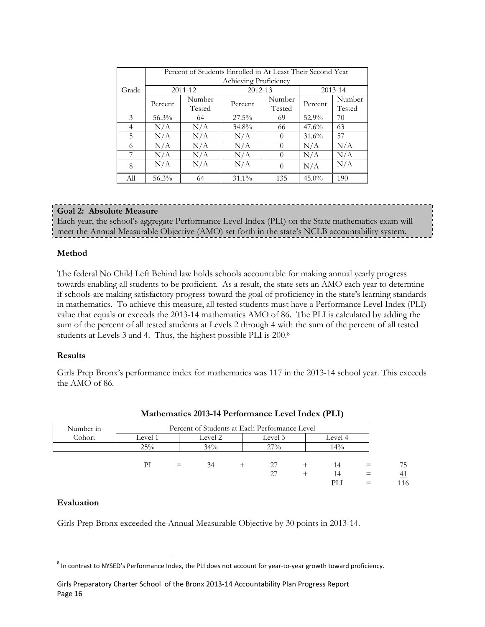|       | Percent of Students Enrolled in At Least Their Second Year<br>Achieving Proficiency |                  |          |                  |          |                  |  |
|-------|-------------------------------------------------------------------------------------|------------------|----------|------------------|----------|------------------|--|
| Grade |                                                                                     | 2011-12          | 2012-13  |                  |          | 2013-14          |  |
|       | Percent                                                                             | Number<br>Tested | Percent  | Number<br>Tested | Percent  | Number<br>Tested |  |
| 3     | $56.3\%$                                                                            | 64               | $27.5\%$ | 69               | 52.9%    | 70               |  |
| 4     | N/A                                                                                 | N/A              | 34.8%    | 66               | 47.6%    | 63               |  |
| 5     | N/A                                                                                 | N/A              | N/A      | $\left( \right)$ | 31.6%    | 57               |  |
| 6     | N/A                                                                                 | N/A              | N/A      |                  | N/A      | N/A              |  |
| 7     | N/A                                                                                 | N/A              | N/A      | $\left( \right)$ | N/A      | N/A              |  |
| 8     | N/A                                                                                 | N/A              | N/A      | $\Omega$         | N/A      | N/A              |  |
| All   | 56.3%                                                                               | 64               | $31.1\%$ | 135              | $45.0\%$ | 190              |  |

#### **Goal 2: Absolute Measure**

Each year, the school's aggregate Performance Level Index (PLI) on the State mathematics exam will meet the Annual Measurable Objective (AMO) set forth in the state's NCLB accountability system.

#### **Method**

The federal No Child Left Behind law holds schools accountable for making annual yearly progress towards enabling all students to be proficient. As a result, the state sets an AMO each year to determine if schools are making satisfactory progress toward the goal of proficiency in the state's learning standards in mathematics. To achieve this measure, all tested students must have a Performance Level Index (PLI) value that equals or exceeds the 2013-14 mathematics AMO of 86. The PLI is calculated by adding the sum of the percent of all tested students at Levels 2 through 4 with the sum of the percent of all tested students at Levels 3 and 4. Thus, the highest possible PLI is 200.<sup>8</sup>

#### **Results**

Girls Prep Bronx's performance index for mathematics was 117 in the 2013-14 school year. This exceeds the AMO of 86.

| Number in | Percent of Students at Each Performance Level |     |         |  |         |         |     |           |
|-----------|-----------------------------------------------|-----|---------|--|---------|---------|-----|-----------|
| Cohort    | Level 1                                       |     | Level 2 |  | Level 3 | Level 4 |     |           |
|           | 25%                                           |     | 34%     |  | 27%     | 14%     |     |           |
|           | PI                                            | $=$ | 34      |  | 27      | 14      |     | 75        |
|           |                                               |     |         |  | 27      | 14      | $=$ | <u>41</u> |
|           |                                               |     |         |  |         | PL I    | $=$ | 116       |

#### **Mathematics 2013-14 Performance Level Index (PLI)**

#### **Evaluation**

Girls Prep Bronx exceeded the Annual Measurable Objective by 30 points in 2013-14.

 $^8$  In contrast to NYSED's Performance Index, the PLI does not account for year-to-year growth toward proficiency.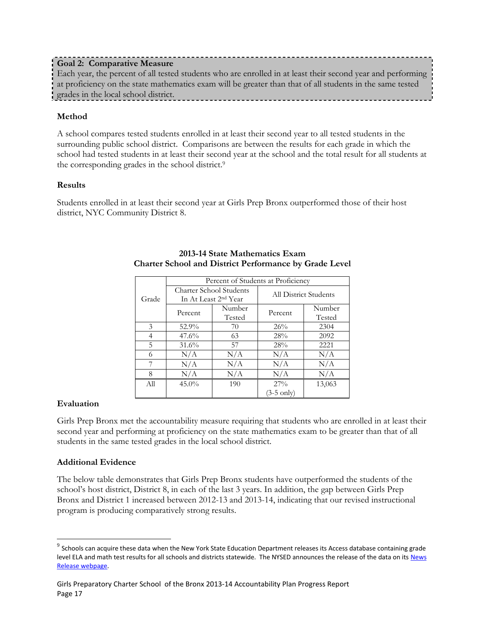Each year, the percent of all tested students who are enrolled in at least their second year and performing at proficiency on the state mathematics exam will be greater than that of all students in the same tested grades in the local school district.

## **Method**

A school compares tested students enrolled in at least their second year to all tested students in the surrounding public school district. Comparisons are between the results for each grade in which the school had tested students in at least their second year at the school and the total result for all students at the corresponding grades in the school district.<sup>9</sup>

## **Results**

Students enrolled in at least their second year at Girls Prep Bronx outperformed those of their host district, NYC Community District 8.

|       |                                                                    |                  | Percent of Students at Proficiency |                  |  |
|-------|--------------------------------------------------------------------|------------------|------------------------------------|------------------|--|
| Grade | <b>Charter School Students</b><br>In At Least 2 <sup>nd</sup> Year |                  | <b>All District Students</b>       |                  |  |
|       | Percent                                                            | Number<br>Tested | Percent                            | Number<br>Tested |  |
| 3     | 52.9%                                                              | 70               | 26%                                | 2304             |  |
| 4     | $47.6\%$                                                           | 63               | 28%                                | 2092             |  |
| 5     | $31.6\%$                                                           | 57               | 28%                                | 2221             |  |
| 6     | N/A                                                                | N/A              | N/A                                | N/A              |  |
| 7     | N/A                                                                | N/A              | N/A                                | N/A              |  |
| 8     | N/A                                                                | N/A              | N/A                                | N/A              |  |
| All   | $45.0\%$                                                           | 190              | $27\%$                             | 13,063           |  |
|       |                                                                    |                  | (3-5 only)                         |                  |  |

#### **2013-14 State Mathematics Exam Charter School and District Performance by Grade Level**

## **Evaluation**

 $\overline{\phantom{a}}$ 

Girls Prep Bronx met the accountability measure requiring that students who are enrolled in at least their second year and performing at proficiency on the state mathematics exam to be greater than that of all students in the same tested grades in the local school district.

## **Additional Evidence**

The below table demonstrates that Girls Prep Bronx students have outperformed the students of the school's host district, District 8, in each of the last 3 years. In addition, the gap between Girls Prep Bronx and District 1 increased between 2012-13 and 2013-14, indicating that our revised instructional program is producing comparatively strong results.

 $^9$  Schools can acquire these data when the New York State Education Department releases its Access database containing grade level ELA and math test results for all schools and districts statewide. The NYSED announces the release of the data on its News [Release webpage.](http://www.oms.nysed.gov/press/)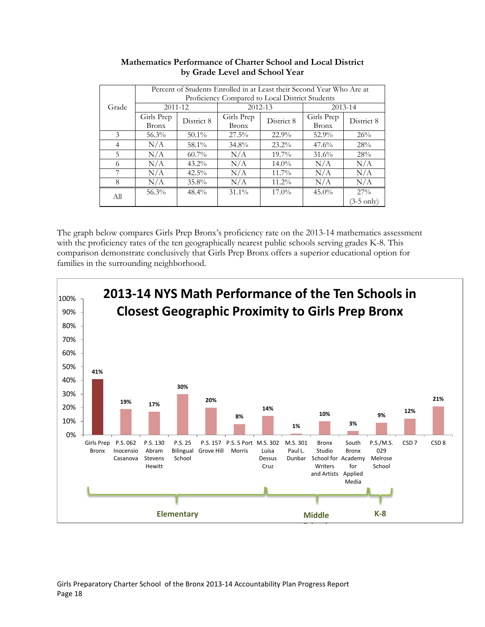|                | Percent of Students Enrolled in at Least their Second Year Who Are at |            |              |             |              |             |
|----------------|-----------------------------------------------------------------------|------------|--------------|-------------|--------------|-------------|
|                | Proficiency Compared to Local District Students                       |            |              |             |              |             |
| Grade          | 2011-12                                                               |            |              | $2012 - 13$ |              | $2013 - 14$ |
|                | Girls Prep                                                            | District 8 | Girls Prep   | District 8  | Girls Prep   | District 8  |
|                | <b>Bronx</b>                                                          |            | <b>Bronx</b> |             | <b>Bronx</b> |             |
| 3              | $56.3\%$                                                              | $50.1\%$   | $27.5\%$     | 22.9%       | 52.9%        | 26%         |
| $\overline{4}$ | N/A                                                                   | 58.1%      | 34.8%        | $23.2\%$    | $47.6\%$     | 28%         |
| 5              | N/A                                                                   | $60.7\%$   | N/A          | $19.7\%$    | 31.6%        | 28%         |
| 6              | N/A                                                                   | $43.2\%$   | N/A          | $14.0\%$    | N/A          | N/A         |
| 7              | N/A                                                                   | $42.5\%$   | N/A          | $11.7\%$    | N/A          | N/A         |
| 8              | N/A                                                                   | 35.8%      | N/A          | $11.2\%$    | N/A          | N/A         |
| All            | 56.3%                                                                 | $48.4\%$   | $31.1\%$     | $17.0\%$    | $45.0\%$     | $27\%$      |
|                |                                                                       |            |              |             |              | (3-5 only)  |

## **Mathematics Performance of Charter School and Local District by Grade Level and School Year**

The graph below compares Girls Prep Bronx's proficiency rate on the 2013-14 mathematics assessment with the proficiency rates of the ten geographically nearest public schools serving grades K-8. This comparison demonstrate conclusively that Girls Prep Bronx offers a superior educational option for families in the surrounding neighborhood.

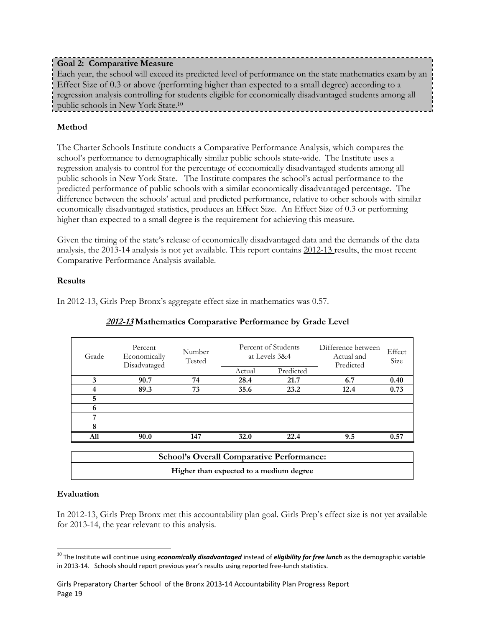## **Goal 2: Comparative Measure**

Each year, the school will exceed its predicted level of performance on the state mathematics exam by an Effect Size of 0.3 or above (performing higher than expected to a small degree) according to a regression analysis controlling for students eligible for economically disadvantaged students among all public schools in New York State.<sup>10</sup>

## **Method**

The Charter Schools Institute conducts a Comparative Performance Analysis, which compares the school's performance to demographically similar public schools state-wide. The Institute uses a regression analysis to control for the percentage of economically disadvantaged students among all public schools in New York State. The Institute compares the school's actual performance to the predicted performance of public schools with a similar economically disadvantaged percentage. The difference between the schools' actual and predicted performance, relative to other schools with similar economically disadvantaged statistics, produces an Effect Size. An Effect Size of 0.3 or performing higher than expected to a small degree is the requirement for achieving this measure.

Given the timing of the state's release of economically disadvantaged data and the demands of the data analysis, the 2013-14 analysis is not yet available. This report contains 2012-13 results, the most recent Comparative Performance Analysis available.

## **Results**

In 2012-13, Girls Prep Bronx's aggregate effect size in mathematics was 0.57.

| Grade | Percent<br>Economically<br>Disadvataged | Number<br>Tested | Percent of Students<br>at Levels 3&4 |           | Difference between<br>Actual and<br>Predicted | Effect<br>Size |
|-------|-----------------------------------------|------------------|--------------------------------------|-----------|-----------------------------------------------|----------------|
|       |                                         |                  | Actual                               | Predicted |                                               |                |
| 3     | 90.7                                    | 74               | 28.4                                 | 21.7      | 6.7                                           | 0.40           |
|       | 89.3                                    | 73               | 35.6                                 | 23.2      | 12.4                                          | 0.73           |
| 5     |                                         |                  |                                      |           |                                               |                |
| 6     |                                         |                  |                                      |           |                                               |                |
| 7     |                                         |                  |                                      |           |                                               |                |
| 8     |                                         |                  |                                      |           |                                               |                |
| A11   | 90.0                                    | 147              | 32.0                                 | 22.4      | 9.5                                           | 0.57           |
|       |                                         |                  |                                      |           |                                               |                |

## **2012-13 Mathematics Comparative Performance by Grade Level**

| <b>School's Overall Comparative Performance:</b> |  |
|--------------------------------------------------|--|
| Higher than expected to a medium degree          |  |

## **Evaluation**

In 2012-13, Girls Prep Bronx met this accountability plan goal. Girls Prep's effect size is not yet available for 2013-14, the year relevant to this analysis.

<sup>&</sup>lt;sup>10</sup> The Institute will continue using *economically disadvantaged* instead of *eligibility for free lunch* as the demographic variable in 2013-14. Schools should report previous year's results using reported free-lunch statistics.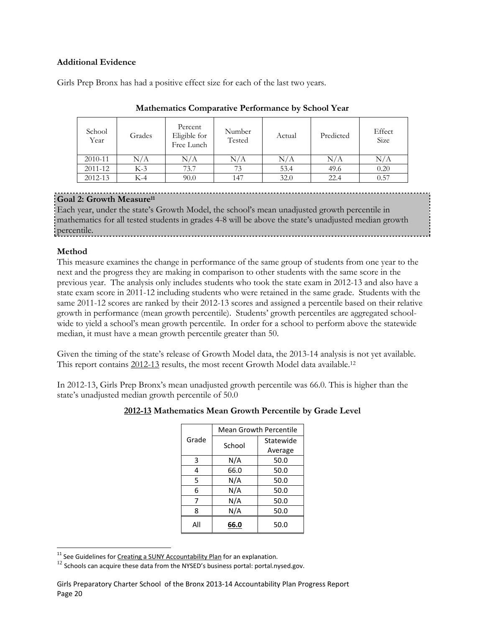#### **Additional Evidence**

Girls Prep Bronx has had a positive effect size for each of the last two years.

| School<br>Year | Grades | Percent<br>Eligible for<br>Free Lunch | Number<br>Tested | Actual | Predicted | Effect<br>Size |
|----------------|--------|---------------------------------------|------------------|--------|-----------|----------------|
| 2010-11        | N/A    | N/A                                   | N/A              | N/A    | $\rm N/A$ | N/A            |
| 2011-12        | $K-3$  | 73.7                                  | 73               | 53.4   | 49.6      | 0.20           |
| 2012-13        | K-4    | 90.0                                  | 147              | 32.0   | 22.4      | 0.57           |

#### **Mathematics Comparative Performance by School Year**

## **Goal 2: Growth Measure<sup>11</sup>**

Each year, under the state's Growth Model, the school's mean unadjusted growth percentile in mathematics for all tested students in grades 4-8 will be above the state's unadjusted median growth percentile.

## **Method**

This measure examines the change in performance of the same group of students from one year to the next and the progress they are making in comparison to other students with the same score in the previous year. The analysis only includes students who took the state exam in 2012-13 and also have a state exam score in 2011-12 including students who were retained in the same grade. Students with the same 2011-12 scores are ranked by their 2012-13 scores and assigned a percentile based on their relative growth in performance (mean growth percentile). Students' growth percentiles are aggregated schoolwide to yield a school's mean growth percentile. In order for a school to perform above the statewide median, it must have a mean growth percentile greater than 50.

Given the timing of the state's release of Growth Model data, the 2013-14 analysis is not yet available. This report contains 2012-13 results, the most recent Growth Model data available.<sup>12</sup>

In 2012-13, Girls Prep Bronx's mean unadjusted growth percentile was 66.0. This is higher than the state's unadjusted median growth percentile of 50.0

## **2012-13 Mathematics Mean Growth Percentile by Grade Level**

|       | <b>Mean Growth Percentile</b> |           |  |  |
|-------|-------------------------------|-----------|--|--|
| Grade | School                        | Statewide |  |  |
|       |                               | Average   |  |  |
| 3     | N/A                           | 50.0      |  |  |
| 4     | 66.0                          | 50.0      |  |  |
| 5     | N/A                           | 50.0      |  |  |
| 6     | N/A                           | 50.0      |  |  |
| 7     | N/A                           | 50.0      |  |  |
| 8     | N/A                           | 50.0      |  |  |
| All   | 66.0                          | 50.0      |  |  |

<sup>&</sup>lt;sup>11</sup> See Guidelines fo[r Creating a SUNY Accountability Plan](http://www.newyorkcharters.org/operate/first-year-schools/accountability-plan/) for an explanation.

 $^{12}$  Schools can acquire these data from the NYSED's business portal: portal.nysed.gov.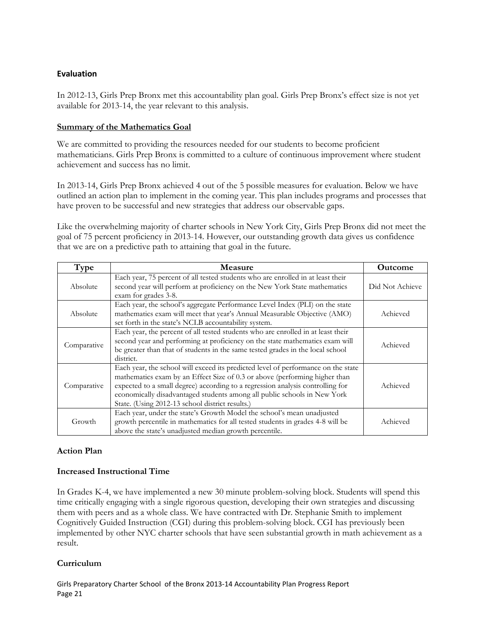## **Evaluation**

In 2012-13, Girls Prep Bronx met this accountability plan goal. Girls Prep Bronx's effect size is not yet available for 2013-14, the year relevant to this analysis.

#### **Summary of the Mathematics Goal**

We are committed to providing the resources needed for our students to become proficient mathematicians. Girls Prep Bronx is committed to a culture of continuous improvement where student achievement and success has no limit.

In 2013-14, Girls Prep Bronx achieved 4 out of the 5 possible measures for evaluation. Below we have outlined an action plan to implement in the coming year. This plan includes programs and processes that have proven to be successful and new strategies that address our observable gaps.

Like the overwhelming majority of charter schools in New York City, Girls Prep Bronx did not meet the goal of 75 percent proficiency in 2013-14. However, our outstanding growth data gives us confidence that we are on a predictive path to attaining that goal in the future.

| Type        | <b>Measure</b>                                                                                                                                                                                                                                                                                                                                                                   | <b>Outcome</b>  |
|-------------|----------------------------------------------------------------------------------------------------------------------------------------------------------------------------------------------------------------------------------------------------------------------------------------------------------------------------------------------------------------------------------|-----------------|
| Absolute    | Each year, 75 percent of all tested students who are enrolled in at least their<br>second year will perform at proficiency on the New York State mathematics<br>exam for grades 3-8.                                                                                                                                                                                             | Did Not Achieve |
| Absolute    | Each year, the school's aggregate Performance Level Index (PLI) on the state<br>mathematics exam will meet that year's Annual Measurable Objective (AMO)<br>set forth in the state's NCLB accountability system.                                                                                                                                                                 | Achieved        |
| Comparative | Each year, the percent of all tested students who are enrolled in at least their<br>second year and performing at proficiency on the state mathematics exam will<br>be greater than that of students in the same tested grades in the local school<br>district.                                                                                                                  | Achieved        |
| Comparative | Each year, the school will exceed its predicted level of performance on the state<br>mathematics exam by an Effect Size of 0.3 or above (performing higher than<br>expected to a small degree) according to a regression analysis controlling for<br>economically disadvantaged students among all public schools in New York<br>State. (Using 2012-13 school district results.) | Achieved        |
| Growth      | Each year, under the state's Growth Model the school's mean unadjusted<br>growth percentile in mathematics for all tested students in grades 4-8 will be<br>above the state's unadjusted median growth percentile.                                                                                                                                                               | Achieved        |

## **Action Plan**

## **Increased Instructional Time**

In Grades K-4, we have implemented a new 30 minute problem-solving block. Students will spend this time critically engaging with a single rigorous question, developing their own strategies and discussing them with peers and as a whole class. We have contracted with Dr. Stephanie Smith to implement Cognitively Guided Instruction (CGI) during this problem-solving block. CGI has previously been implemented by other NYC charter schools that have seen substantial growth in math achievement as a result.

## **Curriculum**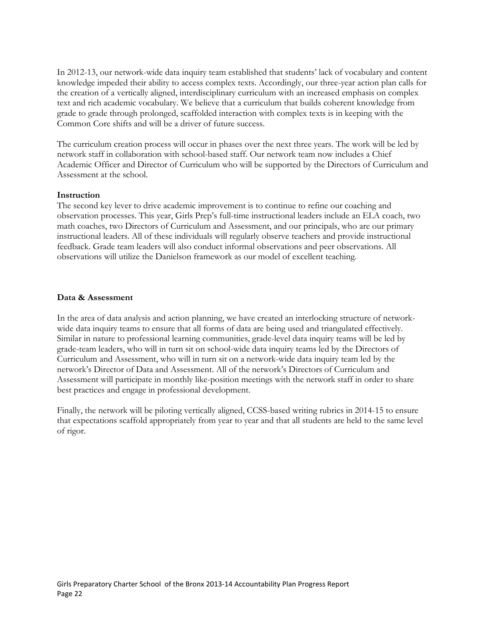In 2012-13, our network-wide data inquiry team established that students' lack of vocabulary and content knowledge impeded their ability to access complex texts. Accordingly, our three-year action plan calls for the creation of a vertically aligned, interdisciplinary curriculum with an increased emphasis on complex text and rich academic vocabulary. We believe that a curriculum that builds coherent knowledge from grade to grade through prolonged, scaffolded interaction with complex texts is in keeping with the Common Core shifts and will be a driver of future success.

The curriculum creation process will occur in phases over the next three years. The work will be led by network staff in collaboration with school-based staff. Our network team now includes a Chief Academic Officer and Director of Curriculum who will be supported by the Directors of Curriculum and Assessment at the school.

#### **Instruction**

The second key lever to drive academic improvement is to continue to refine our coaching and observation processes. This year, Girls Prep's full-time instructional leaders include an ELA coach, two math coaches, two Directors of Curriculum and Assessment, and our principals, who are our primary instructional leaders. All of these individuals will regularly observe teachers and provide instructional feedback. Grade team leaders will also conduct informal observations and peer observations. All observations will utilize the Danielson framework as our model of excellent teaching.

#### **Data & Assessment**

In the area of data analysis and action planning, we have created an interlocking structure of networkwide data inquiry teams to ensure that all forms of data are being used and triangulated effectively. Similar in nature to professional learning communities, grade-level data inquiry teams will be led by grade-team leaders, who will in turn sit on school-wide data inquiry teams led by the Directors of Curriculum and Assessment, who will in turn sit on a network-wide data inquiry team led by the network's Director of Data and Assessment. All of the network's Directors of Curriculum and Assessment will participate in monthly like-position meetings with the network staff in order to share best practices and engage in professional development.

Finally, the network will be piloting vertically aligned, CCSS-based writing rubrics in 2014-15 to ensure that expectations scaffold appropriately from year to year and that all students are held to the same level of rigor.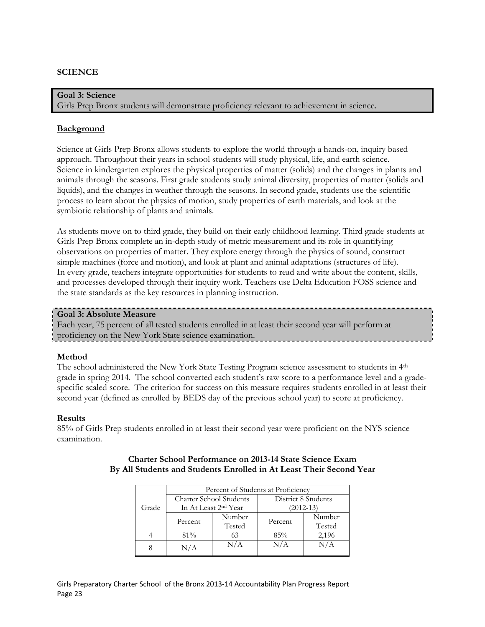#### **SCIENCE**

**Goal 3: Science** Girls Prep Bronx students will demonstrate proficiency relevant to achievement in science.

#### **Background**

Science at Girls Prep Bronx allows students to explore the world through a hands-on, inquiry based approach. Throughout their years in school students will study physical, life, and earth science. Science in kindergarten explores the physical properties of matter (solids) and the changes in plants and animals through the seasons. First grade students study animal diversity, properties of matter (solids and liquids), and the changes in weather through the seasons. In second grade, students use the scientific process to learn about the physics of motion, study properties of earth materials, and look at the symbiotic relationship of plants and animals.

As students move on to third grade, they build on their early childhood learning. Third grade students at Girls Prep Bronx complete an in-depth study of metric measurement and its role in quantifying observations on properties of matter. They explore energy through the physics of sound, construct simple machines (force and motion), and look at plant and animal adaptations (structures of life). In every grade, teachers integrate opportunities for students to read and write about the content, skills, and processes developed through their inquiry work. Teachers use Delta Education FOSS science and the state standards as the key resources in planning instruction.

#### **Goal 3: Absolute Measure**

Each year, 75 percent of all tested students enrolled in at least their second year will perform at proficiency on the New York State science examination.

#### **Method**

The school administered the New York State Testing Program science assessment to students in 4th grade in spring 2014. The school converted each student's raw score to a performance level and a gradespecific scaled score. The criterion for success on this measure requires students enrolled in at least their second year (defined as enrolled by BEDS day of the previous school year) to score at proficiency.

#### **Results**

85% of Girls Prep students enrolled in at least their second year were proficient on the NYS science examination.

|       | Percent of Students at Proficiency |                                  |                     |        |  |  |
|-------|------------------------------------|----------------------------------|---------------------|--------|--|--|
|       | <b>Charter School Students</b>     |                                  | District 8 Students |        |  |  |
| Grade |                                    | In At Least 2 <sup>nd</sup> Year | $(2012 - 13)$       |        |  |  |
|       | Percent                            | Number                           | Percent             | Number |  |  |
|       |                                    | Tested                           |                     | Tested |  |  |
|       | 81%                                | 63                               | 85%                 | 2,196  |  |  |
|       | N/A                                | N/A                              | N/A                 | N/A    |  |  |

#### **Charter School Performance on 2013-14 State Science Exam By All Students and Students Enrolled in At Least Their Second Year**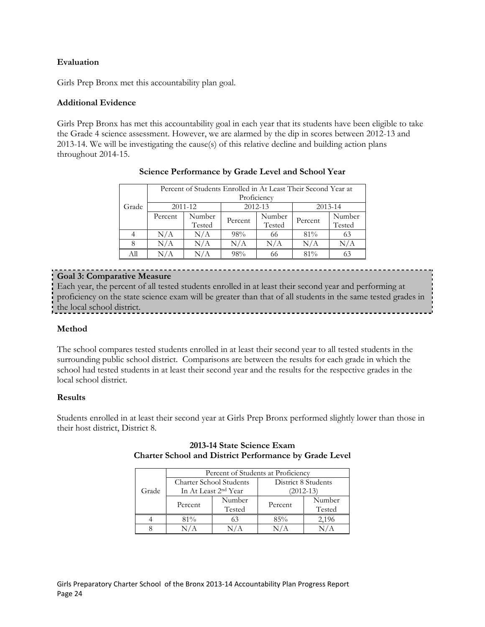## **Evaluation**

Girls Prep Bronx met this accountability plan goal.

#### **Additional Evidence**

Girls Prep Bronx has met this accountability goal in each year that its students have been eligible to take the Grade 4 science assessment. However, we are alarmed by the dip in scores between 2012-13 and 2013-14. We will be investigating the cause(s) of this relative decline and building action plans throughout 2014-15.

|       | Percent of Students Enrolled in At Least Their Second Year at |         |             |         |         |         |  |
|-------|---------------------------------------------------------------|---------|-------------|---------|---------|---------|--|
|       |                                                               |         | Proficiency |         |         |         |  |
| Grade |                                                               | 2011-12 |             | 2012-13 |         | 2013-14 |  |
|       | Percent                                                       | Number  | Percent     | Number  | Percent | Number  |  |
|       |                                                               | Tested  |             | Tested  |         | Tested  |  |
|       | N/A                                                           | N/A     | 98%         | 66      | 81%     | 63      |  |
| 8     | N/A                                                           | N/A     | N/A         | N/A     | N/A     | N/A     |  |
| All   | N/A                                                           | N/A     | 98%         | 66      | $81\%$  |         |  |

## **Science Performance by Grade Level and School Year**

## **Goal 3: Comparative Measure**

Each year, the percent of all tested students enrolled in at least their second year and performing at proficiency on the state science exam will be greater than that of all students in the same tested grades in the local school district.

#### **Method**

The school compares tested students enrolled in at least their second year to all tested students in the surrounding public school district. Comparisons are between the results for each grade in which the school had tested students in at least their second year and the results for the respective grades in the local school district.

#### **Results**

Students enrolled in at least their second year at Girls Prep Bronx performed slightly lower than those in their host district, District 8.

|       |                                  |        | Percent of Students at Proficiency |        |  |
|-------|----------------------------------|--------|------------------------------------|--------|--|
|       | Charter School Students          |        | District 8 Students                |        |  |
| Grade | In At Least 2 <sup>nd</sup> Year |        | $(2012 - 13)$                      |        |  |
|       |                                  | Number |                                    | Number |  |
|       | Percent                          | Tested | Percent                            | Tested |  |
|       | 81%                              | 63     | 85%                                | 2,196  |  |
|       |                                  |        |                                    |        |  |

#### **2013-14 State Science Exam Charter School and District Performance by Grade Level**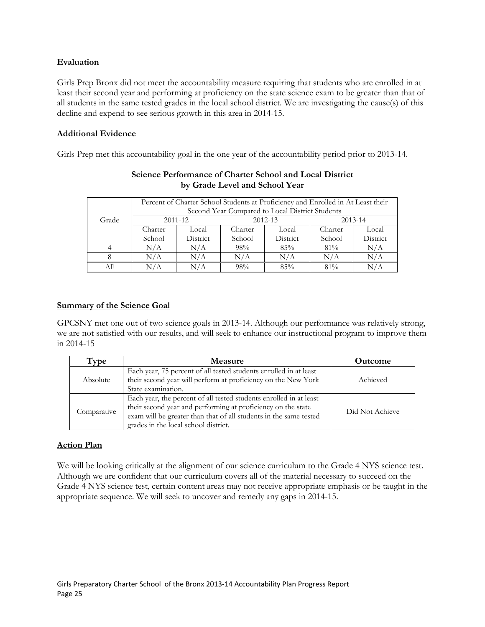#### **Evaluation**

Girls Prep Bronx did not meet the accountability measure requiring that students who are enrolled in at least their second year and performing at proficiency on the state science exam to be greater than that of all students in the same tested grades in the local school district. We are investigating the cause(s) of this decline and expend to see serious growth in this area in 2014-15.

#### **Additional Evidence**

Girls Prep met this accountability goal in the one year of the accountability period prior to 2013-14.

| Grade | Percent of Charter School Students at Proficiency and Enrolled in At Least their<br>Second Year Compared to Local District Students |          |         |          |         |             |  |
|-------|-------------------------------------------------------------------------------------------------------------------------------------|----------|---------|----------|---------|-------------|--|
|       |                                                                                                                                     | 2011-12  |         | 2012-13  |         | $2013 - 14$ |  |
|       | Charter                                                                                                                             | Local    | Charter | Local    | Charter | Local       |  |
|       | School                                                                                                                              | District | School  | District | School  | District    |  |
|       | N/A                                                                                                                                 | N/A      | 98%     | 85%      | $81\%$  | N/A         |  |
|       | N/A                                                                                                                                 | N/A      | N/A     | N/A      | N/A     | N/A         |  |
|       |                                                                                                                                     |          | 98%     | 85%      | $81\%$  |             |  |

#### **Science Performance of Charter School and Local District by Grade Level and School Year**

## **Summary of the Science Goal**

GPCSNY met one out of two science goals in 2013-14. Although our performance was relatively strong, we are not satisfied with our results, and will seek to enhance our instructional program to improve them in 2014-15

| Type        | <b>Measure</b>                                                                                                                                                                                                                                  | <b>Outcome</b>  |
|-------------|-------------------------------------------------------------------------------------------------------------------------------------------------------------------------------------------------------------------------------------------------|-----------------|
| Absolute    | Each year, 75 percent of all tested students enrolled in at least<br>their second year will perform at proficiency on the New York<br>State examination.                                                                                        | Achieved        |
| Comparative | Each year, the percent of all tested students enrolled in at least<br>their second year and performing at proficiency on the state<br>exam will be greater than that of all students in the same tested<br>grades in the local school district. | Did Not Achieve |

## **Action Plan**

We will be looking critically at the alignment of our science curriculum to the Grade 4 NYS science test. Although we are confident that our curriculum covers all of the material necessary to succeed on the Grade 4 NYS science test, certain content areas may not receive appropriate emphasis or be taught in the appropriate sequence. We will seek to uncover and remedy any gaps in 2014-15.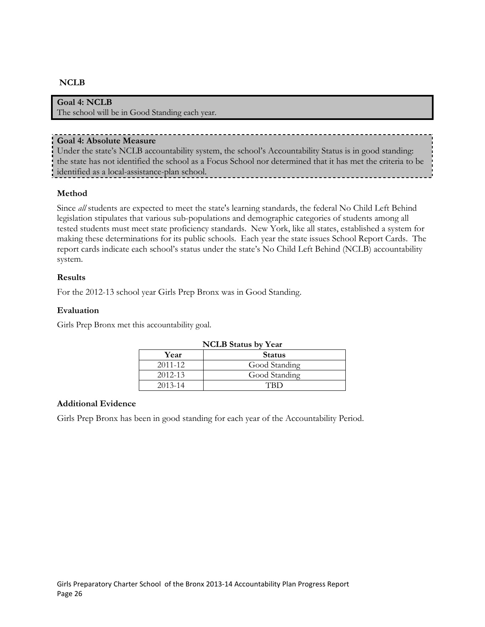## **NCLB**

#### **Goal 4: NCLB**

The school will be in Good Standing each year.

#### **Goal 4: Absolute Measure**

Under the state's NCLB accountability system, the school's Accountability Status is in good standing: the state has not identified the school as a Focus School nor determined that it has met the criteria to be identified as a local-assistance-plan school.

#### **Method**

Since *all* students are expected to meet the state's learning standards, the federal No Child Left Behind legislation stipulates that various sub-populations and demographic categories of students among all tested students must meet state proficiency standards. New York, like all states, established a system for making these determinations for its public schools. Each year the state issues School Report Cards. The report cards indicate each school's status under the state's No Child Left Behind (NCLB) accountability system.

#### **Results**

For the 2012-13 school year Girls Prep Bronx was in Good Standing.

#### **Evaluation**

Girls Prep Bronx met this accountability goal.

| <b>NCLB</b> Status by Year |               |  |  |  |
|----------------------------|---------------|--|--|--|
| Year                       | <b>Status</b> |  |  |  |
| $2011 - 12$                | Good Standing |  |  |  |
| $2012 - 13$                | Good Standing |  |  |  |
| $2013 - 14$                |               |  |  |  |

#### **Additional Evidence**

Girls Prep Bronx has been in good standing for each year of the Accountability Period.